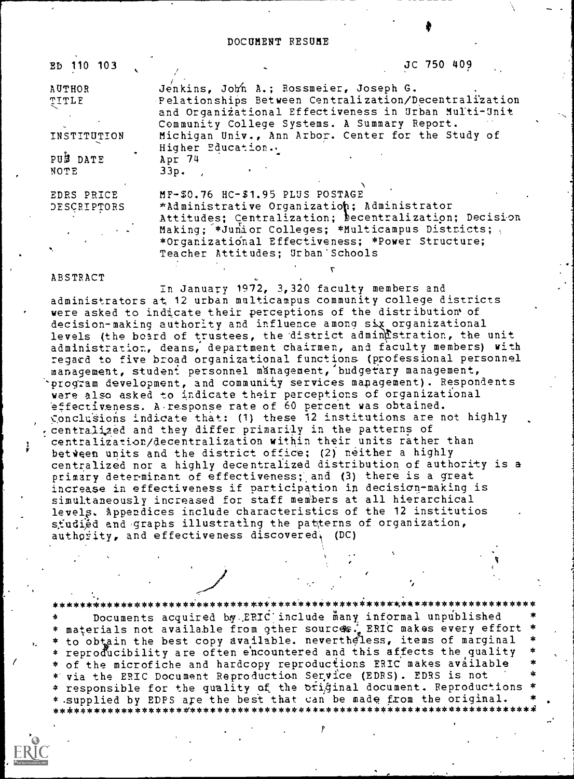#### DOCUMENT RESUME

ED 110 103

JC 750 409

**AUTHOR** TITLE

INSTITUTION

PUS DATE NOTE

EDRS PRICE DESCRIPTORS

Jenkins, John A.; Rossmeier, Joseph G. Pelationships Between Centralization/Decentralization and Organizational Effectiveness in Urban Multi-Unit Community College Systems. A Summary Report. Michigan Univ., Ann Arbor. Center for the Study of Higher Education.. Apr 74  $33p.$ 

MF-\$0.76 HC-\$1.95 PLUS POSTAGE \*Administrative Organization; Administrator Attitudes; Centralization; Decentralization; Decision Making; \*Junior Colleges; \*Multicampus Districts; \*Organizational Effectiveness; \*Power Structure; Teacher Attitudes; Urban Schools

#### ABSTRACT

In January 1972, 3,320 faculty members and administrators at 12 urban multicampus community college districts were asked to indicate their perceptions of the distribution of decision-making authority and influence among six organizational levels (the board of trustees, the district administration, the unit administration, deans, department chairmen, and faculty members) with regard to five broad organizational functions (professional personnel management, student personnel management, budgetary management, program development, and community services management). Respondents were also asked to indicate their perceptions of organizational effectiveness. A response rate of 60 percent was obtained. Conclusions indicate that: (1) these 12 institutions are not highly centralized and they differ primarily in the patterns of centralization/decentralization within their units rather than between units and the district office; (2) neither a highly<br>centralized nor a highly decentralized distribution of authority is a primary determinant of effectiveness; and (3) there is a great increase in effectiveness if participation in decision-making is simultaneously increased for staff members at all hierarchical levels. Appendices include characteristics of the 12 institutios studied and graphs illustrating the patterns of organization, authority, and effectiveness discovered, (DC)

\* Documents acquired by ERIC include many informal unpublished<br>\* materials not available from other sources: ERIC makes every effort<br>\* to obtain the best copy available. nevertheless, items of marginal \* reproducibility are often encountered and this affects the quality \* of the microfiche and hardcopy reproductions ERIC makes available \* via the ERIC Document Reproduction Service (EDRS). EDRS is not \* responsible for the quality of the original document. Reproductions \* \* supplied by EDPS are the best that can be made from the original.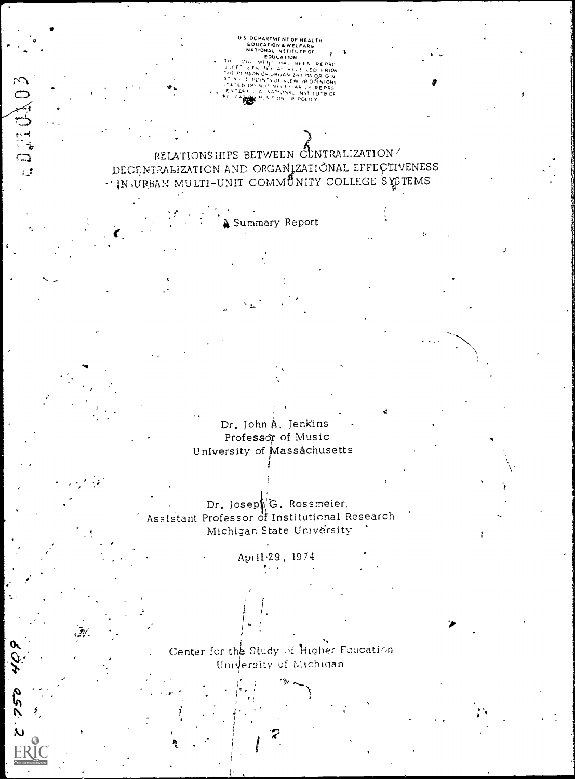US OCPARTMENT OF HEALTH<br>
EDUCATION A WELFARE<br>
NATIONAL INSTITUTE OF<br>
FOLUTION A BUCATION<br>
COLOGITY AS BEEN BEEN<br>
PERSON OF UPLANT ZATION OF RIGHT<br>
PERSON OF UPLANT ARTION OF THE RESON OF THE RESON OF THE RESON OF THE RESON SON ÓP UPGAN ZATION ORIGIN<br>- POINTS OF VERW JR OPINIONS<br>DO NOT NECENSABILY REPRE<br>ITC AL NATIONAL INSTITUTE OF<br>BER PUSIT ON DR POLICY

RELATIONSHIPS BETWEEN CENTRALIZATION DECENTRALIZATION AND ORGANIZATIONAL EFFECTIVENESS . IN URBAN MULTI-UNIT COMMUNITY COLLEGE SYSTEMS

Summary Report

a Dail CAO

22P

Dr. John A. Jenkins Professor of Music University of Massachusetts

Dr. Joseph'G. Rossmeier. Assistant Professor of Institutional Research Michigan State University

April 29, 1974

Center for the Study of Higher Faucation Umversity of Michigan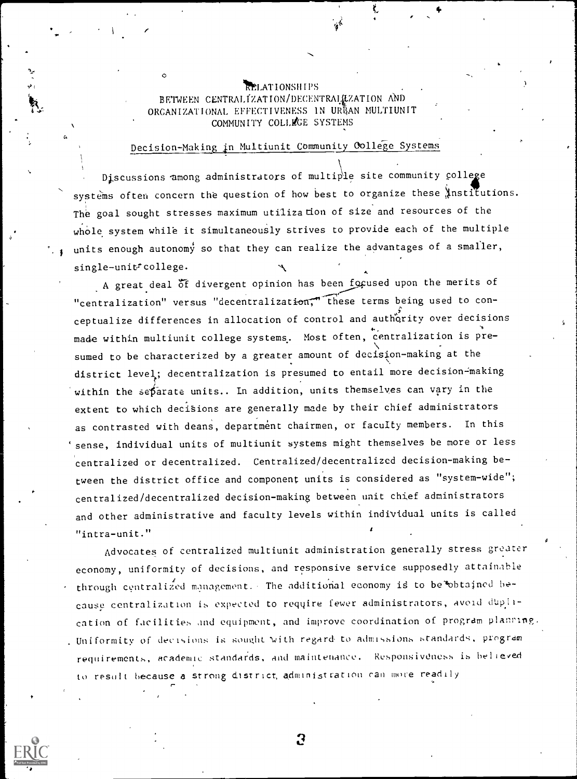### RELATIONSHIPS BETWEEN CENTRALIZATION/DECENTRALIZATION AND ORGANIZATIONAL EFFECTIVENESS IN URBAN MULTIUNIT COMMUNITY COLLEGE SYSTEMS

Alb

## Decision-Making in Multiunit Community College Systems

Discussions among administrators of multiple site community college systems often concern the question of how best to organize these institutions. The goal sought stresses maximum utilization of size and resources of the whole system while it simultaneously strives to provide each of the multiple units enough autonomy so that they can realize the advantages of a smaller, single-unit<sup>t</sup>college.

A great deal of divergent opinion has been focused upon the merits of "centralization" versus "decentralization;" these terms being used to conceptualize differences in allocation of control and authority over decisions made within multiunit college systems. Most often, centralization is presumed to be characterized by a greater amount of decision-making at the district level; decentralization is presumed to entail more decision-making within the separate units.. In addition, units themselves can vary in the extent to which decisions are generally made by their chief administrators as contrasted with deans, department chairmen, or faculty members. In this `sense, individual units of multiunit systems might themselves be more or less centralized or decentralized. Centralized/decentralized decision-making between the district office and component units is considered as "system-wide"; centralized/decentralized decision-making between unit chief administrators and other administrative and faculty levels within individual units is called "intra-unit." <sup>4</sup>

Advocates of centralized multiunit administration generally stress greater economy, uniformity of decisions, and responsive service supposedly attainable through centralized management. The additional economy is to be obtained because centralization is expected to require fewer administrators, avoid duplication of facilities and equipment, and improve coordination of program planring. . Uniformity of decisions is sought with regard to admissions standards, program requirements, academic standards, and maintenance. Responsiveness is believed to result because a strong district, administration ran more readily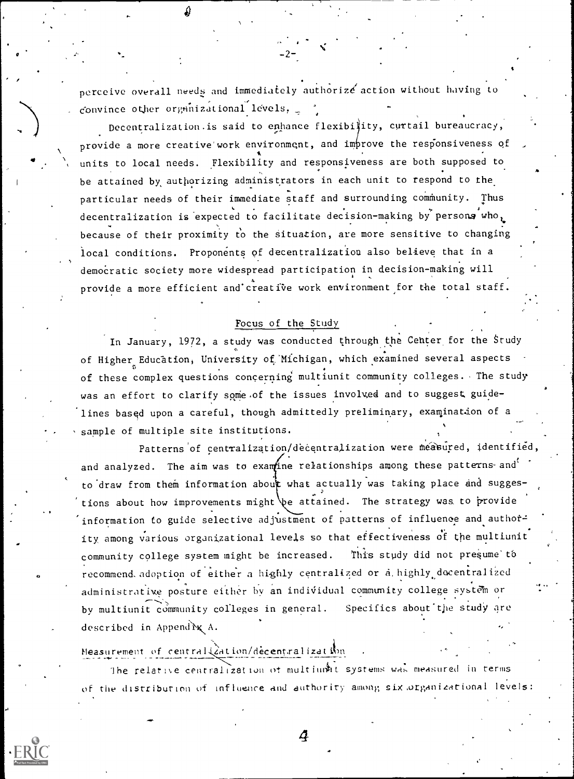perceive overall needs and immediately authorize action without having to convince other organizational levels,

 $-2-$ 

Decentralization. is said to enhance flexibility, curtail bureaucracy, provide a more creative work environment, and improve the responsiveness of units to local needs. Flexibility and responsiveness are both supposed to be attained by authorizing administrators in each unit to respond to the particular needs of their immediate staff and surrounding community. Thus decentralization is expected to facilitate decision-making by persons who, because of their proximity to the situation, are more sensitive to changing local conditions. Proponents of decentralization also believe that in a democratic society more widespread participation in decision-making will provide a more efficient and creative work environment for the total staff.

## Focus of the Study

In January, 1972, a study was conducted through the Center for the Study of Higher Education, University of Michigan, which examined several aspects of these complex questions concerning multiunit community colleges. The study was an effort to clarify some of the issues involved and to suggest guidelines based upon a careful, though admittedly preliminary, examination of a sample of multiple site institutions.

Patterns of centralization/decentralization were measured, identified, and analyzed. The aim was to examine relationships among these patterns and to draw from them information about what actually was taking place and suggestions about how improvements might be attained. The strategy was to provide information to guide selective adjustment of patterns of influence and author= ity, among various organizational levels so that effectiveness of the multiunit community college system might be increased. This study did not presume to recommend. adoption of either a highly centralized or a highly decentralized administrative posture either by an individual community college system or by multiunit community colleges in general. Specifics about the study are described in Append $\mathbf{\hat{x}}$  A.

Measurement of centralization/decentralization

The relative centralization of multimst systems was measured in terms. of the distribution of influence and authority among six organizational levels:

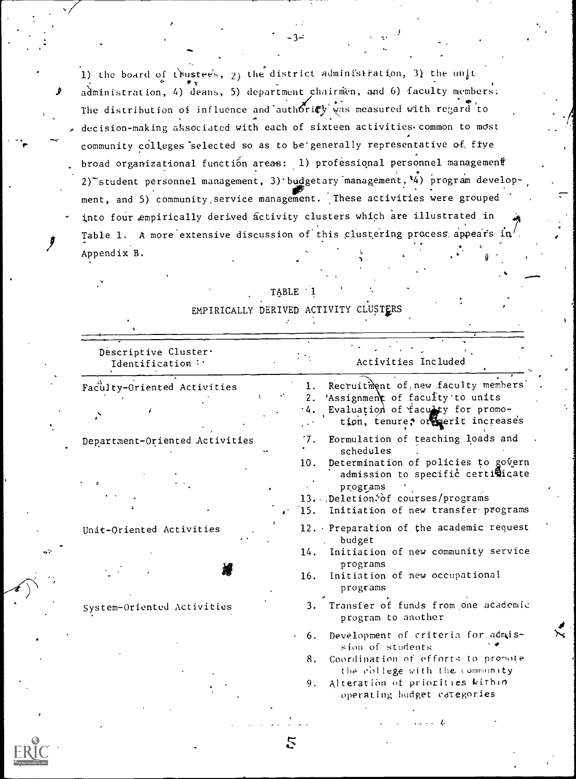1) the board of trustees,  $2)$  the district administration, 3) the unit administration, 4) deans, 5) department chairmen, and 6) faculty members: The distribution of influence and authoricy was measured with regard to decision-making associated with each of sixteen activities. common to most community colleges selected so as to be generally representative of five broad organizational function areas: 1) professional personnel management 2) student personnel management, 3) budgetary management, 4) program development, and 5) community service management. These activities were grouped into four empirically derived activity clusters which are illustrated in Table 1. A more extensive discussion of this clustering process appears in Appendix B.

| Descriptive Cluster.<br>Identification |          | Activities Included                                                      |
|----------------------------------------|----------|--------------------------------------------------------------------------|
| Faculty-Oriented Activities            | 1.<br>2. | Recruitment of, new faculty members<br>'Assignment of faculty'to units   |
|                                        |          | Evaluation of faculty for promo-<br>tion, tenure, or perit increases     |
| Department-Oriented Activities         | Ί.       | Eormulation of teaching loads and<br>schedules                           |
|                                        | 10.      | Determination of policies to govern<br>admission to specific certicicate |
|                                        |          | programs<br>13. Deletion, of courses/programs                            |
|                                        | 15.      | Initiation of new transfer programs                                      |
| Unit-Oriented Activities               |          | 12. Preparation of the academic request<br>budget                        |
|                                        | 14.      | Initiation of new community service<br>programs                          |
|                                        | 16.      | Initiation of new occupational<br>programs                               |
| System-Oriented Activities             |          | 3. Transfer of funds from one academic<br>program to another             |
|                                        | 6.       | Development of criteria for admis-<br>sion of students                   |
|                                        | 8.       | Coordination of efforts to promote<br>the college with the community     |
|                                        | 9.       | Alteration of priorities within<br>operating budget categories           |

5

| TABLE 1 |  |  |
|---------|--|--|
|         |  |  |

EMPIRICALLY DERIVED ACTIVITY CLUSTERS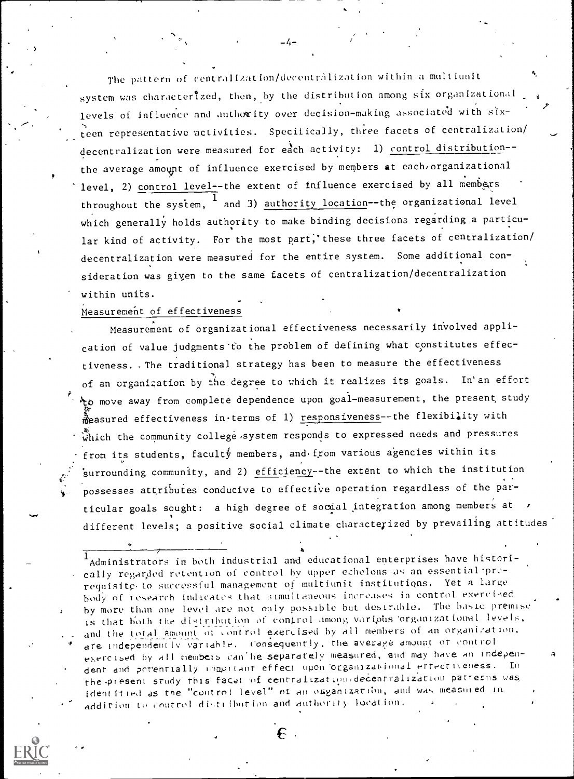The pattern of centralization/decentrâlization within a multiunit system was characterized, then, by the distribution among six organizational levels of influence and authority over decision-making absociated with sixteen representative 'activities. Specifically, three facets of centralization/ decentralization were measured for each activity: 1) control distribution-the average amount of influence exercised by members at each organizational level, 2) control level--the extent of influence exercised by all members throughout the system,  $^\mathsf{T}$  and 3) <u>authority location</u>--the organizational level which generally holds authority to make binding decisions regarding a particular kind of activity. For the most part, these three facets of centralization/ decentralization were measured for the entire system. Some additional consideration was giyen to the same facets of centralization/decentralization within units.

7

#### Measurement of effectiveness

.

ti

Measurement of organizational effectiveness necessarily involved application of value judgments to the problem of defining what constitutes effectiveness. The traditional strategy has been to measure the effectiveness of an organization by the degree to which it realizes its goals. In'an effort tomove away from complete dependence upon goal-measurement, the present, study measured effectiveness in terms of 1) responsiveness--the flexibility with  $\hat{\ddot{\bm{\omega}}}$ hich the community college system responds to expressed needs and pressures from its students, facult $\oint$  members, and from various agencies within its surrounding community, and 2) efficiency--the extent to which the institution possesses attributes conducive to effective operation regardless of the particular goals sought: a high degree of social integration among members at  $\rightarrow$ different levels; a positive social climate characterized by prevailing attitudes

 $1$ Administrators in both industrial and educational enterprises have historically regarded retention of control by upper echelons as an essential prerequisite, to successful management of multiunit institutions. Yet a large body of research Indicates that simultaneous increases in control exercised by more than one level are not only possible but desirable. The basic premise is that both the distribution of control among various organizational levels, and the total amount of control exercised by all members of an organization. are independently variable. Consequently, the average amount of control exercised by all members can'he separately measured, and may have an independent and potentially important effect upon organizational effectiveness. En the present study this facet of centralizationidecentralization patterns was identitied as the "control level" of an organization, and was measured in addition to control distribution and authority lucation.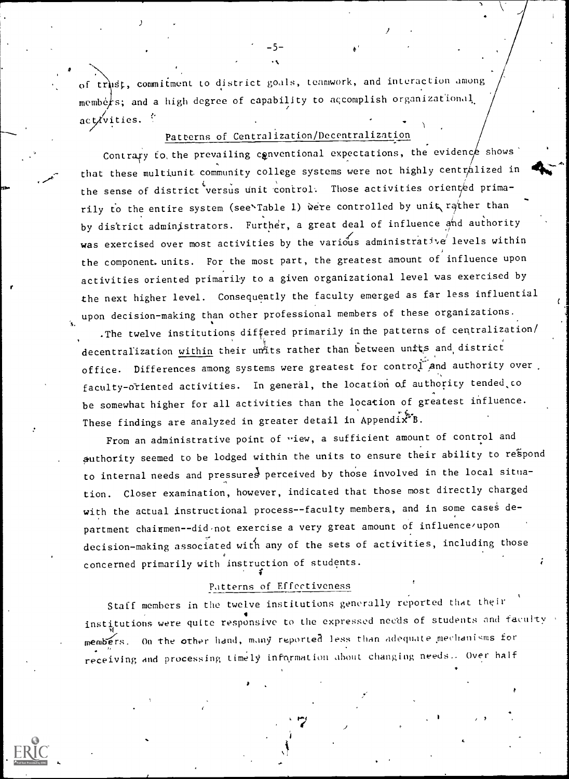of trust, commitment to district goals, teamwork, and interaction among members; and a high degree of capability to accomplish organizational. act $\chi'$ vities.  $\gamma$ 

-5-

# Patterns of Centralization/Decentralization

re a contracto

Contrary to the prevailing conventional expectations, the evidence shows that these multiunit community college systems were not highly centralized in the sense of district versus unit control. Those activities oriented primarily to the entire system (see<sup>x</sup>Table 1) were controlled by unit rather than by district administrators. Further, a great deal of influence and authority was exercised over most activities by the various administrative levels within the component units. For the most part, the greatest amount of influence upon activities oriented primarily to a given organizational level was exercised by the next higher level. Consequently the faculty emerged as far less influential upon decision-making than other professional members of these organizations.

.The twelve institutions differed primarily in the patterns of centralization/ decentralization within their units rather than between units and district office. Differences among systems were greatest for control and authority over. faculty-oriented activities. In general, the location of authority tended to be somewhat higher for all activities than the location of greatest influence. These findings are analyzed in greater detail in Appendix\*B.

From an administrative point of view, a sufficient amount of control and authority seemed to be lodged within the units to ensure their ability to respond to internal needs and pressures perceived by those involved in the local situation. Closer examination, however, indicated that those most directly charged with the actual instructional process--faculty members, and in some cases department chairmen--did not exercise a very great amount of influence/upon decision-making associated with any of the sets of activities, including those concerned primarily with instruction of students.

### Patterns of Effectiveness

Staff members in the twelve institutions generally reported that their institutions were quite responsive to the expressed needs of students and faculty members. On the other hand, many reported less than adequate mechanisms for receiving and processing timely information about changing needs.- Over half  $\hspace{0.1cm}$ t in 1990.<br>The contract of the contract of the contract of the contract of the contract of the contract of the contract o

/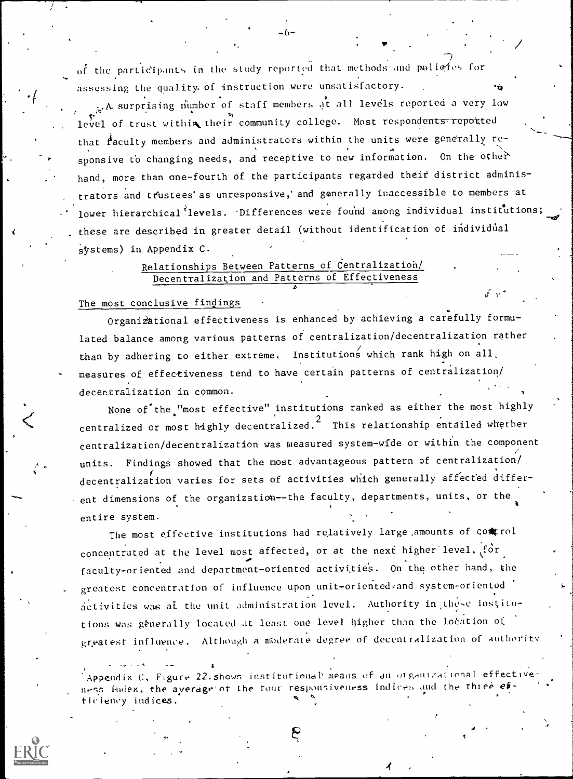of the participants in the study reported that methods and policies for assessing the quality of instruction were unsatisfactory.

A surprising number of staff members at all levels reported a very low level of trust within their community college. Most respondents reported that faculty members and administrators within the units were generally responsive to changing needs, and receptive to new information. On the other hand, more than one-fourth of the participants regarded their district administrators and trustees as unresponsive, and generally inaccessible to members at lower hierarchical levels. Differences were found among individual institutions; these are described in greater detail (without identification of individual systems) in Appendix C.

## Relationships Between Patterns of Centralization/ Decentralization and Patterns of Effectiveness

#### The most conclusive findings

Organizational effectiveness is enhanced by achieving a carefully formulated balance among various patterns of centralization/decentralization rather than by adhering to either extreme. Institutions which rank high on all. measures of effectiveness tend to have certain patterns of centralization/ decentralization in common.

None of the "most effective" institutions ranked as either the most highly centralized or most highly decentralized.<sup>2</sup> This relationship entailed whether centralization/decentralization was measured system-wide or within the component units. Findings showed that the most advantageous pattern of centralization/ decentralization varies for sets of activities which generally affected different dimensions of the organization--the faculty, departments, units, or the entire system.

The most effective institutions had relatively large amounts of comtrol concentrated at the level most affected, or at the next higher level, for faculty-oriented and department-oriented activities. On the other hand, the greatest concentration of influence upon unit-oriented and system-oriented activities was at the unit administration level. Authority in these institutions was generally located at least one level higher than the location of greatest influence. Although a moderate degree of decentralization of authority

Appendix C, Figure 22 shows institutional means of an organizational effectiveness index, the average of the four responsiveness indices and the three ticlency indices.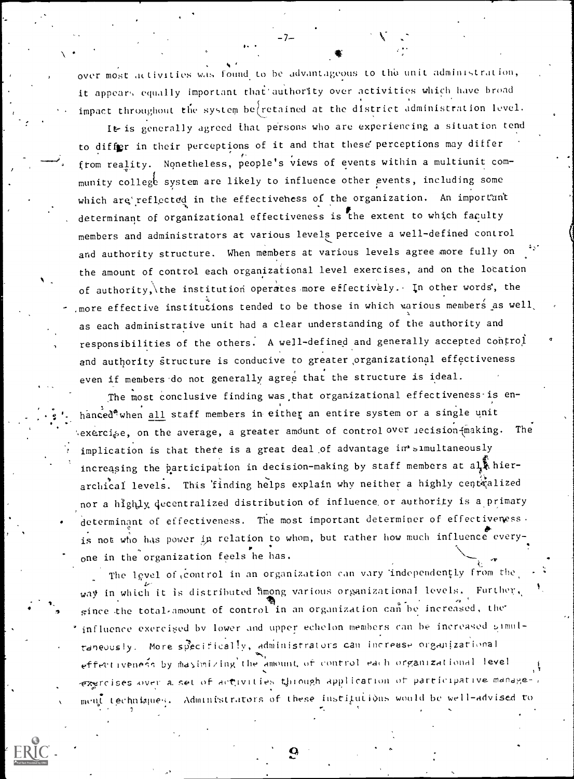over most activities was found to be advantageous to the unit administration, it appears equally important that authority over activities which have broad impact throughout the system be retained at the district administration level.

It is generally agreed that persons who are experiencing a situation tend to differ in their perceptions of it and that these perceptions may differ from reality. Nonetheless, people's views of events within a multiunit community college system are likely to influence other events, including some which are reflected in the effectiveness of the organization. An important determinant of organizational effectiveness is the extent to which faculty members and administrators at various levels perceive a well-defined control and authority structure. When members at various levels agree more fully on the amount of control each organizational level exercises, and on the location of authority, the institution operates more effectively. In other words, the , more effective institutions tended to be those in which various members as well. as each administrative unit had a clear understanding of the authority and responsibilities of the others. A well-defined and generally accepted control and authority structure is conducive to greater organizational effectiveness even if members do not generally agree that the structure is ideal.

The most conclusive finding was that organizational effectiveness is enhanced<sup>®</sup> when all staff members in either an entire system or a single unit exercise, on the average, a greater amount of control over lecision (making. The implication is that there is a great deal of advantage in's imultaneously increasing the participation in decision-making by staff members at al. hierarchical levels. This finding helps explain why neither a highly centralized nor a highly decentralized distribution of influence or authority is a primary determinant of effectiveness. The most important determiner of effectiveness. is not who has power in relation to whom, but rather how much influence everyone in the organization feels he has.

The level of control in an organization can vary independently from the way in which it is distributed fimong various organizational levels. Further, since the total amount of control in an organization can be increased, the \* influence exercised by lower and upper echelon members can be increased simultaneously. More specifically, administrators can increase organizational effectiveness by maximizing the amount of control each organizational level exercises over a set of activities through application of participative management techniques. Administrators of these institutions would be well-advised to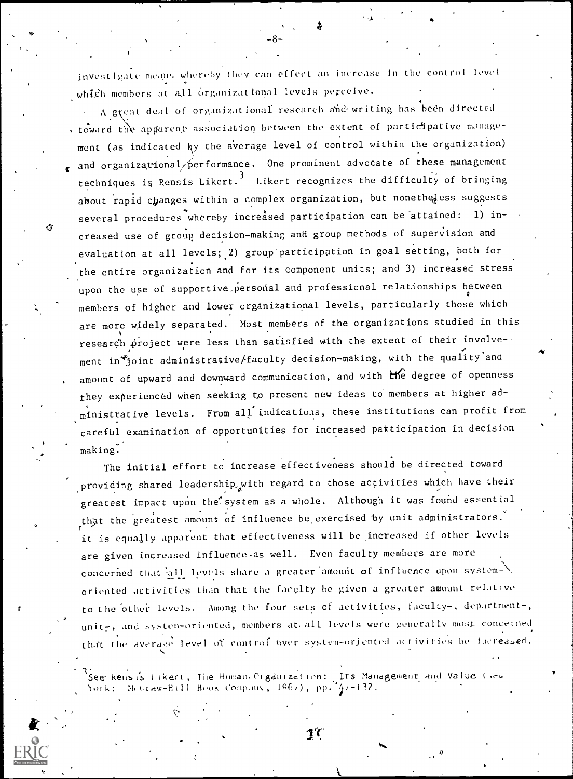investigate means whereby they can effect an increase in the control level which members at all organizational levels perceive.

A great deal of organizational research and writing has been directed , toward the apparent association between the extent of participative management (as indicated by the average level of control within the organization) and organizational/performance. One prominent advocate of these management techniques is Rensis Likert.<sup>3</sup> Likert recognizes the difficulty of bringing about rapid changes within a complex organization, but nonetheless suggests several procedures whereby increased participation can be attained: 1) increased use of group decision-making and group methods of supervision and evaluation at all levels; 2) group participation in goal setting, both for the entire organization and for its component units; and 3) increased stress upon the use of supportive personal and professional relationships between members of higher and lower organizational levels, particularly those which are more widely separated. Most members of the organizations studied in this research project were less than satisfied with the extent of their involvement in fjoint administrative/faculty decision-making, with the quality and amount of upward and downward communication, and with the degree of openness they experienced when seeking to present new ideas to members at higher administrative levels. From all indications, these institutions can profit from careful examination of opportunities for increased participation in decision making.

The initial effort to increase effectiveness should be directed toward providing shared leadership with regard to those activities which have their greatest impact upon the system as a whole. Although it was found essential that the greatest amount of influence be exercised by unit administrators, it is equally apparent that effectiveness will be increased if other levels are given increased influence as well. Even faculty members are more concerned that all levels share a greater amount of influence upon systemoriented activities than that the faculty be given a greater amount relative to the other levels. Among the four sets of activities, faculty-, department-, unit-, and system-oriented, members at all levels were generally most concerned that the average level of control over system-oriented activities be increased.

See Rensis Fikert, The Human Organization: Its Management and Value Grew Meta aw-Hill Book Comp.my,  $1967$ , pp.  $47-132$ .



 $1^{\prime}$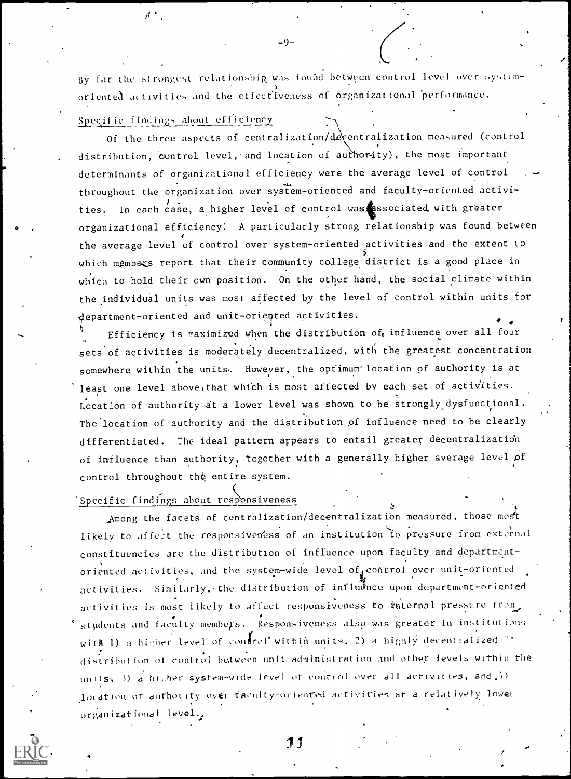By far the strongest relationship was found between control level over systemoriented activities and the effectiveness of organizational performance.

-9-

### Specific findings about efficiency

 $\mu$  .

Of the three aspects of centralization/deventralization measured (control distribution, control level, and location of authority), the most important determinants of organizational efficiency were the average level of control throughout tlie organization over system-oriented and faculty-oriented activi ties. In each case, a higher level of control was associated with greater organizational efficiency: A particularly strong relationship was found between the average level of control over system-oriented activities and the extent to  $\qquad \qquad \mid$ which members report that their community college district is a good place in which to hold their own position. On the other hand, the social climate within the individual units was most affected by the level of control within units for department-oriented and unit-oriented activities.  $\frac{1}{4}$  0.000  $\frac{1}{4}$  0.000  $\frac{1}{4}$  0.000  $\frac{1}{4}$  0.000  $\frac{1}{4}$  0.000  $\frac{1}{4}$  0.000  $\frac{1}{4}$  0.000  $\frac{1}{4}$  0.000  $\frac{1}{4}$  0.000  $\frac{1}{4}$  0.000  $\frac{1}{4}$  0.000  $\frac{1}{4}$  0.000  $\frac{1}{4}$  0.000  $\frac{1}{4}$  0.0

Efficiency is maximized when the distribution of influence over all four  $\qquad \qquad$ sets of activities is moderately decentralized, with the greatest concentration somewhere within the units, However, the optimum' location of authority is at least one level above that which is most affected by each set of activities. Location of authority at a lower level was shown to be strongly dysfunctional. The location of authority and the distribution of influence need to be clearly differentiated. The ideal pattern appears to entail greater decentralization of influence than authority, together with a generally higher average level of control throughout the entire system.

Specific findings about responsiveness

e

, Among the facets of centralization/decentralization measured, those most likely to affect the responsiveness of an institution to pressure from external constituencies are the distribution of influence upon faculty and departmentoriented activities, and the system-wide level of control over unit-oriented activities. Similarly, the distribution of influence upon department-oriented activities is most likely to affect responsiveness to internal pressure from, students and faculty members. Responsiveness also was greater in institutions with 1) a higher level of control within units, 2) a highly decentralized  $\gamma$ . distribution of control be,twen unit administration and othet levels within the units, 3)  $d$  higher system-wide level of control over all activities, and  $(i)$ location of authority over faculty-oriented activities at a relatively lower organizational level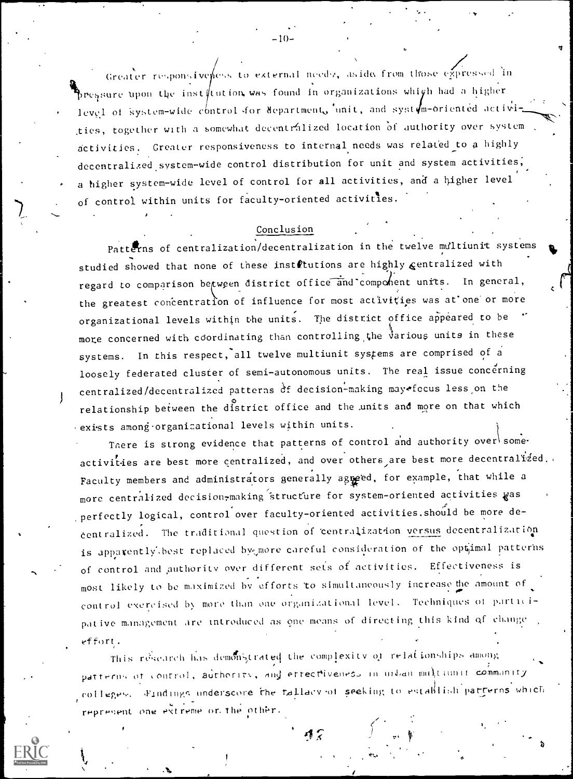Greater responsiveness to external needs, aside from those expressed in pressure upon the institution was found in organizations which had a higher level of system-wide control for department, unit, and system-oriented activities, together with a somewhat decentralized location of authority over system activities. Greater responsiveness to internal needs was related to a highly decentralized system-wide control distribution for unit and system activities, a higher system-wide level of control for all activities, and a higher level of control within units for faculty-oriented activities.

#### Conclusion

Patterns of centralization/decentralization in the twelve multiunit systems studied showed that none of these instrtutions are highly centralized with regard to comparison between district office and component units. In general, the greatest concentration of influence for most activities was at one or more organizational levels within the units. The district office appeared to be more concerned with coordinating than controlling the various units in these In this respect, all twelve multiunit systems are comprised of a systems. loosely federated cluster of semi-autonomous units. The real issue concerning centralized/decentralized patterns of decision-making may focus less on the relationship between the district office and the units and more on that which exists among organicational levels within units.

There is strong evidence that patterns of control and authority over some. activities are best more centralized, and over others are best more decentralized. Faculty members and administrators generally agreed, for example, that while a more centralized decision-making structure for system-oriented activities was perfectly logical, control over faculty-oriented activities.should be more decentralized. The traditional question of centralization versus decentralization is apparently best replaced by more careful consideration of the optimal patterns of control and authority over different sets of activities. Effectiveness is most likely to be maximized by efforts to simultaneously increase the amount of control exercised by more than one organizational level. Techniques of participative management are introduced as one means of directing this kind of change effort.

This research has demonstrated the complexity of relationships among patterns of control, authority, and errectiveness in unban multiunit community colleges. Findings underscore the fallacy of seeking to establish parterns which represent one extreme or the other.

 $17$ 

 $-10-$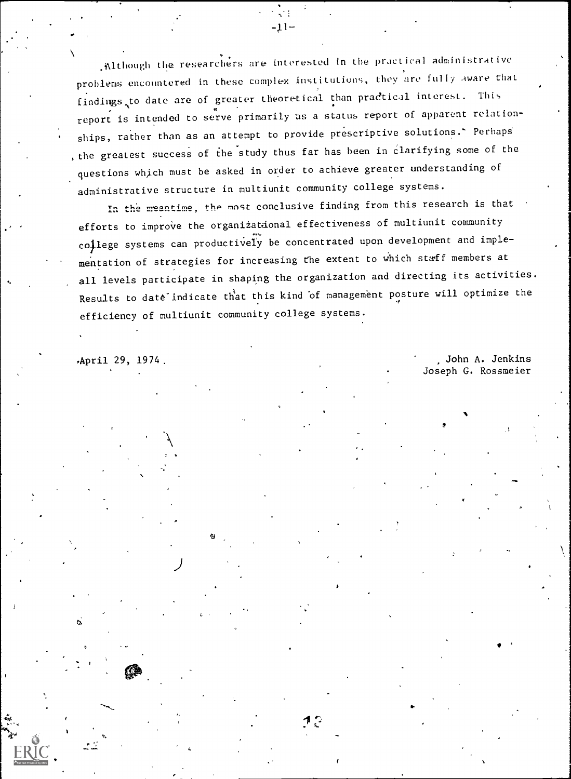Although the researchers are interested in the practical administrative problems encountered in these complex institutions, they are fully aware that findings to date are of greater theoretical than practical interest. This report is intended to serve primarily as a status report of apparent relationships, rather than as an attempt to provide prescriptive solutions.' Perhaps the greatest success of the study thus far has been in clarifying some of the questions which must be asked in order to achieve greater understanding of administrative structure in multiunit community college systems.

 $-11-$ 

In the meantime, the most conclusive finding from this research is that efforts to improve the organizational effectiveness of multiunit community college systems can productively be concentrated upon development and implementation of strategies for increasing the extent to which staff members at all levels participate in shaping the organization and directing its activities. Results to date indicate that this kind of management posture will optimize the efficiency of multiunit community college systems.

April 29, 1974. April 29, 1974. Joseph G. Rossmeier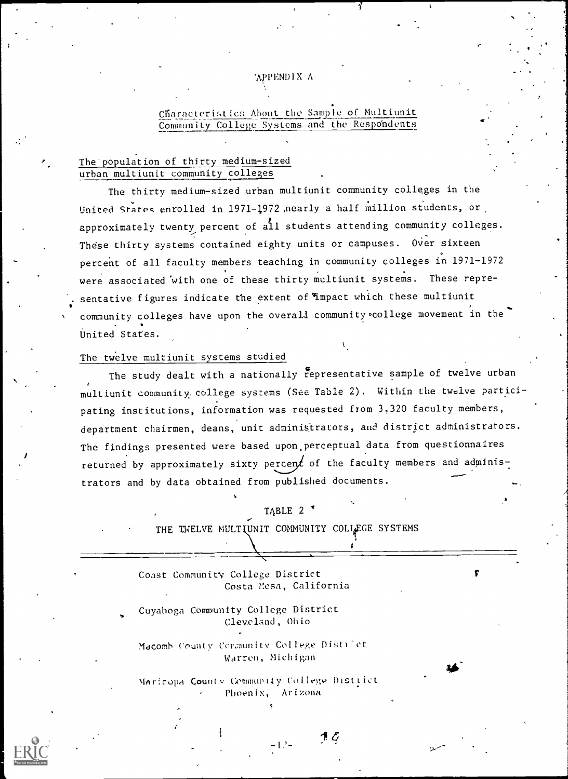## APPENDIX A

## Characteristics About the Sample of Multiunit Community College Systems and the Respondents

### The population of thirty medium-sized urban multiunit community colleges

The thirty medium-sized urban multiunit community colleges in the United Stares enrolled in 1971-1972 ,nearly a half million students, or approximately twenty percent of all students attending community colleges. These thirty systems contained eighty units or campuses. Over sixteen percent of all faculty members teaching in community colleges in 1971-1972 were associated with one of these thirty multiunit systems. These representative figures indicate the extent of impact which these multiunit community colleges have upon the overall community college movement in the United States.

## The twelve multiunit systems studied

The study dealt with a nationally representative sample of twelve urban multiunit community, college systems (See Table 2). Within the twelve participating institutions, information was requested from 3,320 faculty members, department chairmen, deans, unit administrators, and district administrators. The findings presented were based upon,perceptual data from questionnaires returned by approximately sixty percen $f$  of the faculty members and administrators and by data obtained from published documents.

### TABLE 2 \*

THE TWELVE MULTIUNIT COMMUNITY COLLEGE SYSTEMS

Coast Community College District Costa Mesa, California

Cuyahoga Community College District Cleveland, Ohio

Macomb County Cormunity College District WArren, Michigan

MAr!cwa Couniv GommuvIly Collegv Disttict Phoenix, Arizona

 $\mathcal{I}$ :  $\mathcal{G}$  and  $\mathcal{G}$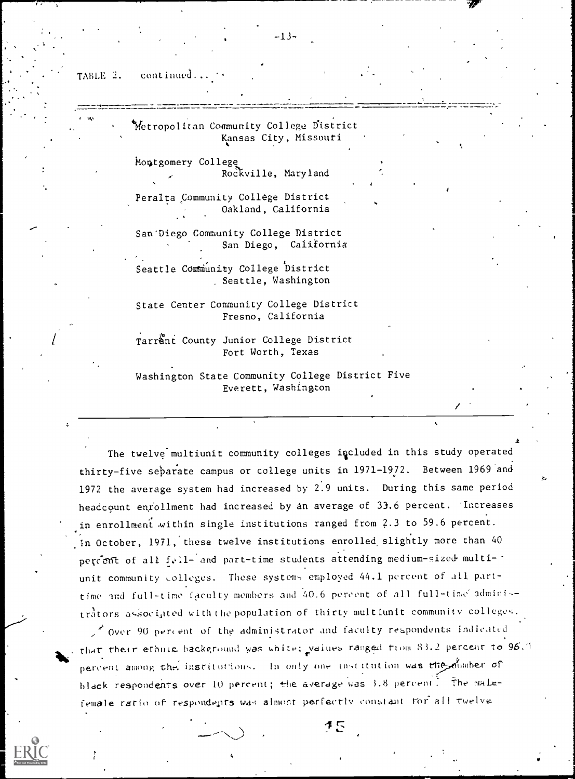TABLE 2. continued.

| Metropolitan Community College District          |
|--------------------------------------------------|
| Kansas City, Missouri                            |
| Montgomery College                               |
| Rockville, Maryland                              |
| Peralta Community Collège District               |
| Oakland, California                              |
| San Diego Community College District             |
| San Diego, California                            |
| Seattle Community College District               |
| Seattle, Washington                              |
| State Center Community College District          |
| Fresno, California                               |
| Tarrant County Junior College District           |
| Fort Worth, Texas                                |
| Washington State Community College District Five |
| Everett, Washington                              |

 $\bullet$   $\bullet$ The twelve multiunit community colleges included in this study operated thirty-five separate campus or college units in 1971-1972. Between 1969 and 1972 the average system had increased by 2.9 units. During this same period headcount enrollment had increased by an average of 33.6 percent. Increases in enrollment within single institutions ranged from 2.3 to 59.6 percent.  $\int$ in October, 1971, these twelve institutions enrolled slightly more than 40 percent of all fall- and part-time students attending medium-sized multiunit community colleges. These systems employed 44.1 percent of all parttime and full-time faculty members and 40.6 percent of all full-time administrators associated with the population of thirty multiunit community colleges.

 $\frac{1}{2}$  Over 90 percent of the administrator and faculty respondents indicated rhat their ethnic hackground was white; yaiues ranged tiom 83.2 percent to 96.1 percent among the insritutions. In only one institution was the diminer of hlack respondents over 10 percent; the average was 3.8 percent. The mailefemale ratio of respondents was almost perfectly constant for all twelve-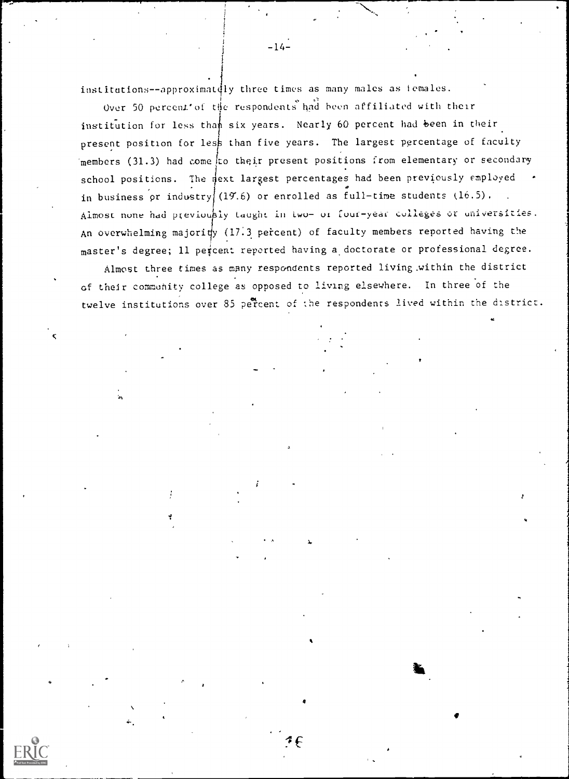institutions--approximately three times as many males as females.

Over 50 percent of the respondents had been affiliated with their institution for less than six years. Nearly 60 percent had been in their present position for less than five years. The largest percentage of faculty members (31.3) had come to their present positions from elementary or secondary school positions. The next largest percentages had been previously employed in business or industry (19.6) or enrolled as full-time students (16.5). Almost none had previously taught in two- or four-year colleges or universities. An overwhelming majority (17.3 percent) of faculty members reported having the master's degree; 11 percent reported having a doctorate or professional degree.

Almost three times as many respondents reported living within the district of their community college as opposed to living elsewhere. In three of the twelve institutions over 85 percent of the respondents lived within the district.

 $-14-$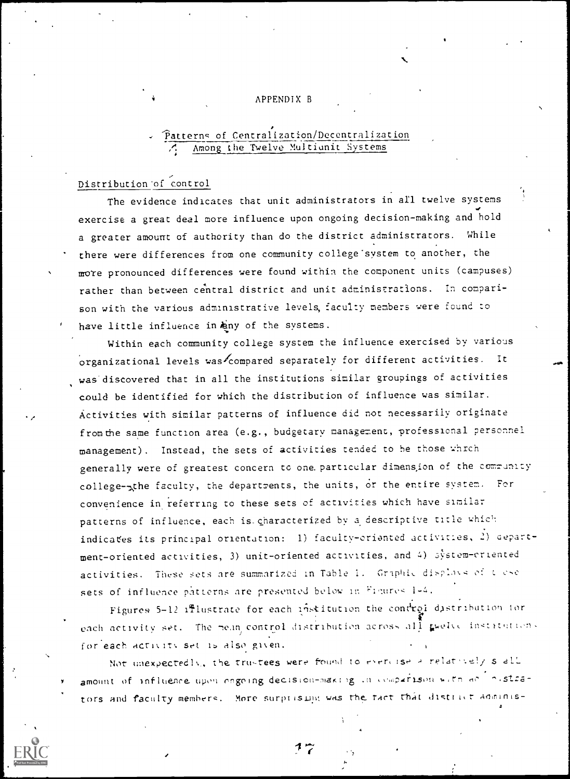#### APPENDIX B

# Patterns of Centralization/Decentralization Among the Twelve Multiunit Systems

## Distribution of control

The evidence indicates that unit administrators in all twelve systems exercise a great deal more influence upon ongoing decision-making and hold a greater amount of authority than do the district administrators. While there were differences from one community college system to another, the more pronounced differences were found within the component units (campuses) rather than between central district and unit administrations. In comparison with the various administrative levels, faculty members were found to have little influence in hany of the systems.

Within each community college system the influence exercised by various organizational levels was compared separately for different activities. It was discovered that in all the institutions similar groupings of activities could be identified for which the distribution of influence was similar. Activities with similar patterns of influence did not necessarily originate from the same function area (e.g., budgetary management, professional personnel management). Instead, the sets of activities tended to be those which generally were of greatest concern to one particular dimension of the community college-the faculty, the departments, the units, or the entire system. For convenience in referring to these sets of activities which have similar patterns of influence, each is characterized by a descriptive title which indicates its principal orientation: 1) faculty-oriented activities, 2) department-oriented activities, 3) unit-oriented activities, and 4) system-criented activities. These sets are summarized in Table 1. Graphic displays of these sets of influence patterns are presented below in Figures 1-4.

Figures 5-12 ifflustrate for each institution the condrol distribution for each activity set. The mean control distribution across all gwelve instatutions for each activity set is also given.

Not unexpectedly, the trustees were found to everyise a relatively stall amount of influence upon ongoing decision-making in comparison with an inistrators and faculty members. More surprising was the fact that district adminis-

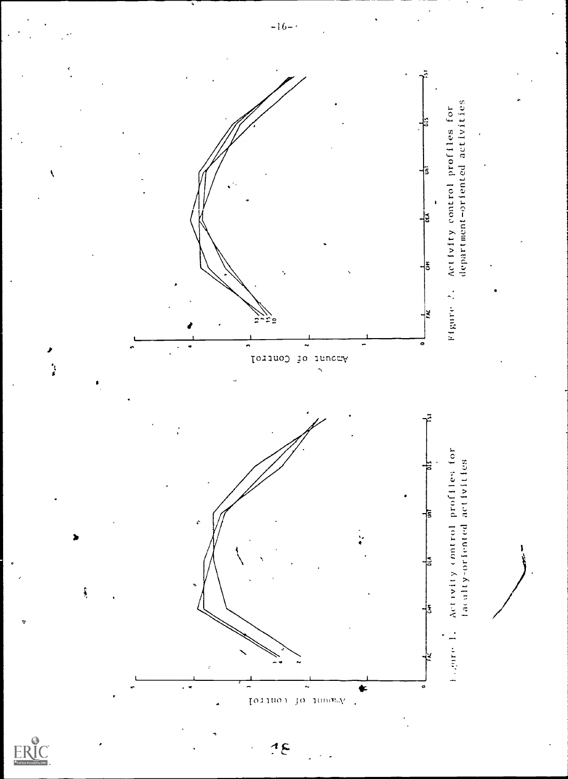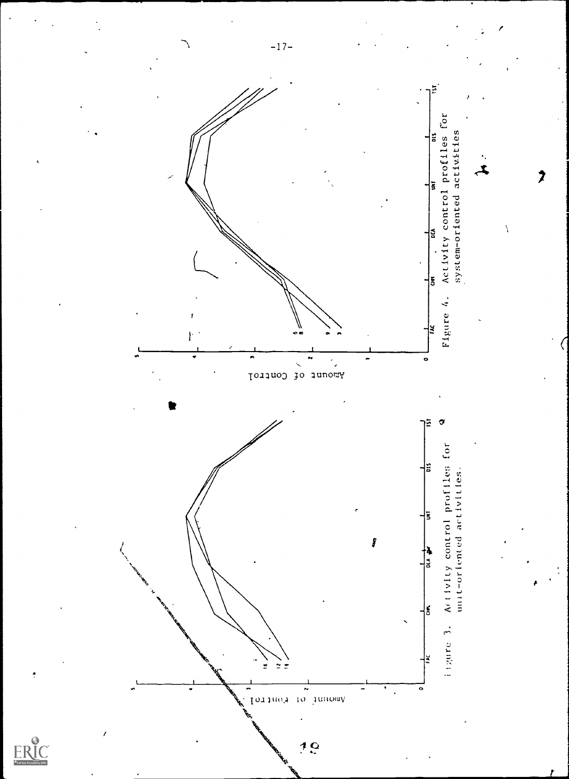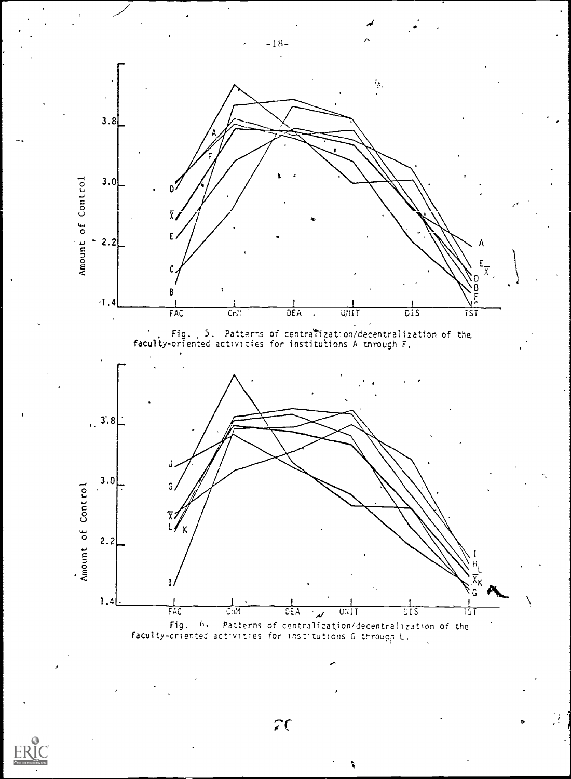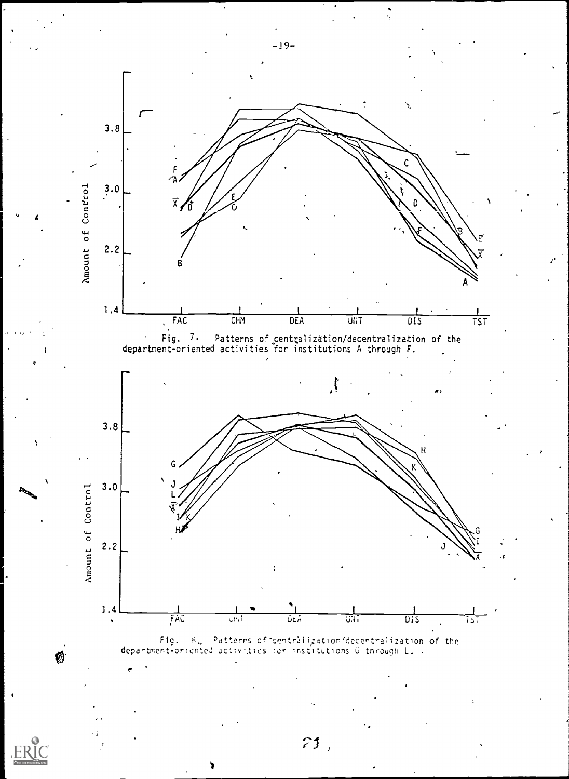

 $-19-$ 

 $51,$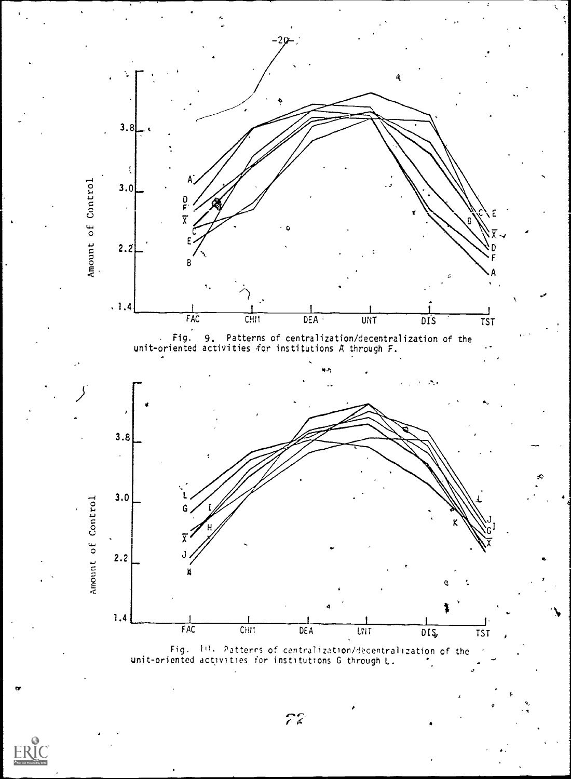



 $\bullet$  values of  $\circ$  values of  $\circ$ 

,

 $72.$ 

ERIC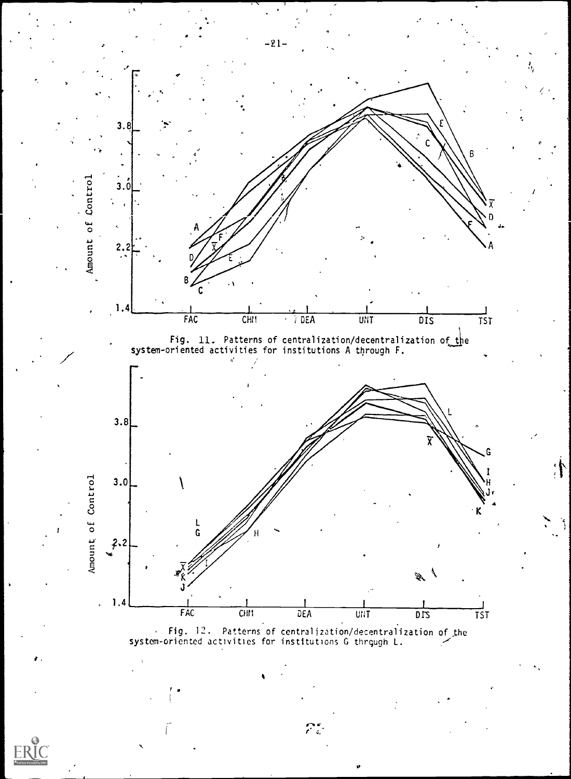

system-oriented activities for institutions G thrqugh L.

r.

ç,

 $\mathcal{P}^{\bullet}_{\mathbb{C}}$ 

ti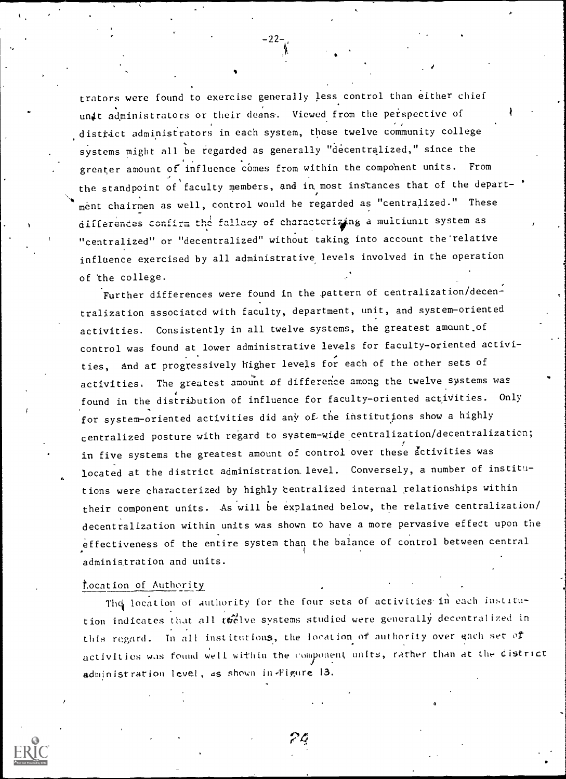trators were found to exercise generally less control than either chief unit administrators or their deans. Viewed from the perspective of district administrators in each system, these twelve community college systems might all be regarded as generally "decentralized," since the greater amount of influence comes from within the component units. From the standpoint of faculty members, and in most instances that of the department chairmen as well, control would be regarded as "centralized." These differentes confirm the fallacy of charactcrizing a multiunit system as "centralized" or "decentralized" without taking into account the'relative influence exercised by all administrative levels involved in the operation of the college.

-22-

 $\mathcal{L} = \mathcal{L}$ 

Further differences were found in the pattern of centralization/decentralization associated with faculty, department, unit, and system-oriented activities. Consistently in all twelve systems, the greatest amount.of control was found at lower administrative levels for faculty-oriented activities, and at progressively higher levels for each of the other sets of activities. The greatest amount of difference among the twelve systems was found in the distribution of influence for faculty-oriented activities. Only for system-oriented activities did any of the institutions show a highly centralized posture with regard to system-wide centralization/decentralization; in five systems the greatest amount of control over these activities was located at the district administration level. Conversely, a number of institutions were characterized by highly 'centralized internal relationships within their component units. As will be explained below, the relative centralization/ decentralization within units was shown to have a more pervasive effect upon the effectiveness of the entire system than the balance of control between central administration and units.

#### Location of Authority

The location of authority for the four sets of activities in each institution indicates that all twelve systems studied were generally decentralized in this regard. In all institutions, the location of authority over each set of activities was found well within the component units, rather than at the district administration level, as shown in Figure 13.

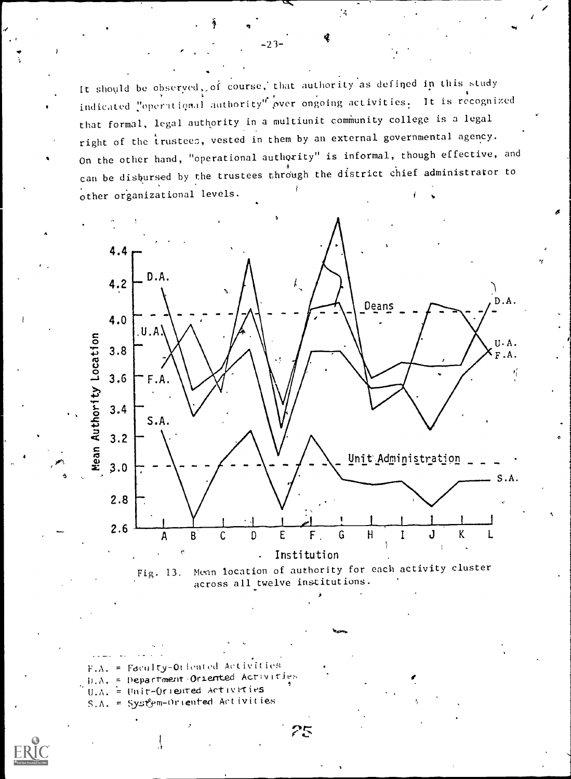It should be observed, of course, that authority as defined in this study indicated "operational authority" over ongoing activities. It is recognized that formal, legal authority in a multiunit community college is a legal right of the trustees, vested in them by an external governmental agency. On the other hand, "operational authority" is informal, though effective, and can be disbursed by the trustees through the district chief administrator to other organizational levels.

 $-23-$ 

 $\mathcal{A}$ 



Menn location of authority for each activity cluster Fig. 13. across all twelve institutions.

 $F.A. = Fdculty-Orfented Activities$  $D.A. = Department-Ordered Activities$  $0.A. =$  Unit-Oriented Activities  $S.A. = System-Ortented$  Activities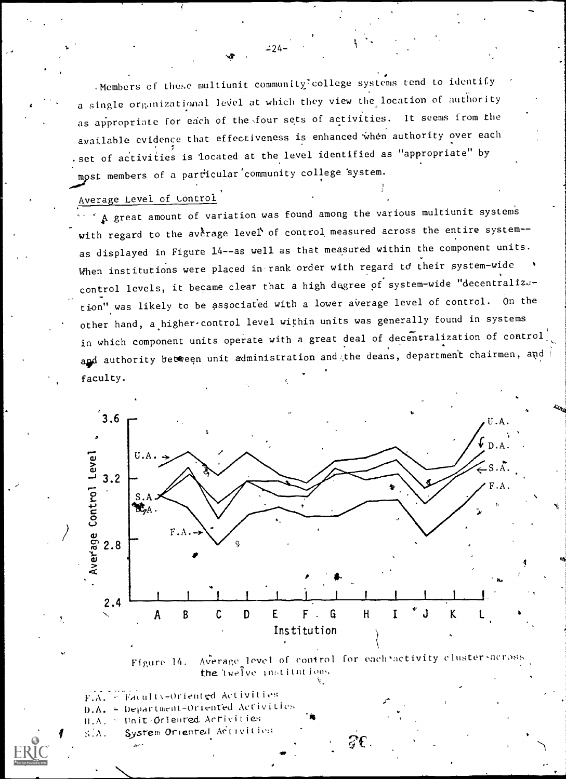-Members of these multiunit community college systems tend to identify a single organizational level at which they view the location of authority as appropriate for each of the four sets of activities. It seems from the available evidence that effectiveness is enhanced when authority over each set of activities is located at the level identified as "appropriate" by. most members of a particular community college system.

# Average Level of Control

 $^{\circ}$  A great amount of variation was found among the various multiunit systems with regard to the average level of control measured across the entire system-as displayed in Figure 14--as well as that measured within the component units. When institutions were placed in rank order with regard to their system-wide control levels, it became clear that a high degree of system-wide "decentralization" was likely to be associated with a lower average level of control. On the other hand, a higher control level within units was generally found in systems in which component units operate with a great deal of decentralization of control and authority between unit administration and the deans, department chairmen, and faculty.



 $F.A. = Factority- Oriented Activities$ 

- D.A. = Department-Oriented Activities
- Unit-Oriented Activities  $H.A.$
- System Oriented Addivition SÍA.

 $-24-$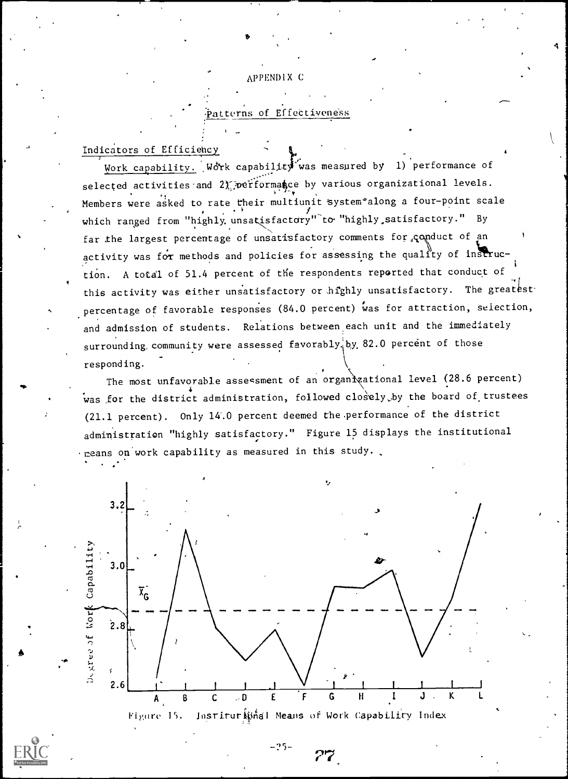#### APPENDIX C

## .<br>Patterns of Effectiveness

### Indicators of Efficiency

Work capability. Work capability was measured by 1) performance of selected activities and 2) performance by various organizational levels. Members were asked to rate their multiunit system\*along a four-point scale which ranged from "highly unsatisfactory" to "highly satisfactory." By far the largest percentage of unsatisfactory comments for , conduct of an activity was for methods and policies for assessing the quality of instruction. A total of 51.4 percent of the respondents reported that conduct of this activity was either unsatisfactory or highly unsatisfactory. The greatest percentage of favorable responses (84.0 percent) was for attraction, selection, and admission of students. Relations between each unit and the immediately surrounding community were assessed favorably, by 82.0 percent of those responding.

The most unfavorable assessment of an organizational level (28.6 percent) was for the district administration, followed closely by the board of trustees (21.1 percent). Only 14.0 percent deemed the performance of the district administration "highly satisfactory." Figure 15 displays the institutional . means on work capability as measured in this study.



 $-95-$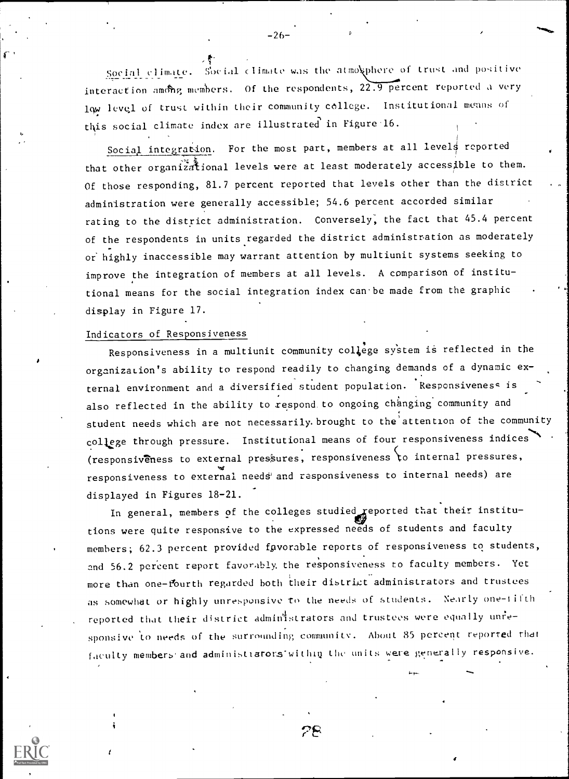Social climate. Social climate was the atmosphere of trust and positive interaction among members. Of the respondents, 22.9 percent reported a very lqw 1evq1 of trust within their community college. Institutional means of this social climate index are illustrated in Figure 16.

Social integration. For the most part, members at all levels reported that other organizational levels were at least moderately accessible to them. Of those responding, 81.7 percent reported that levels other than the district administration were generally accessible; 54.6 percent accorded similar rating to the district administration. Conversely, the fact that 45.4 percent of the respondents in units regarded the district administration as moderately or highly inaccessible may warrant attention by multiunit systems seeking to improve the integration of members at all levels. A comparison of institutional means for the social integration index can be made from the graphic display in Figure 17.

### Indicators of Responsiveness

 $\mathbf{1}$ 

Responsiveness in a multiunit community college system is reflected in the organization's ability to respond readily to changing demands of a dynamic external environment and a diversified student population. Responsiveness is also reflected in the ability to respond to ongoing changing community and student needs which are not necessarily. brought to the'attention of the community college through pressure. Institutional means of four responsiveness indices (responsiveness to external pressures, responsiveness to internal pressures, responsiveness to external needs and responsiveness to internal needs) are displayed in Figures 18-21.

In general, members of the colleges studied reported that their institutions were quite responsive to the expressed needs of students and faculty members; 62.3 percent provided favorable reports of responsiveness to students, and 56.2 percent report favorably. the responsiveness to faculty members. Yet more than one fourth regarded both their district administrators and trustees as somewhat or highly unresponsive to the needs of students. Nearly one-fifth reported that their district administrators and trustees were equally unresponsive to needs of the surrounding community. About 35 percent reported that faculty members and administrators within the units were generally responsive.

 $78-1$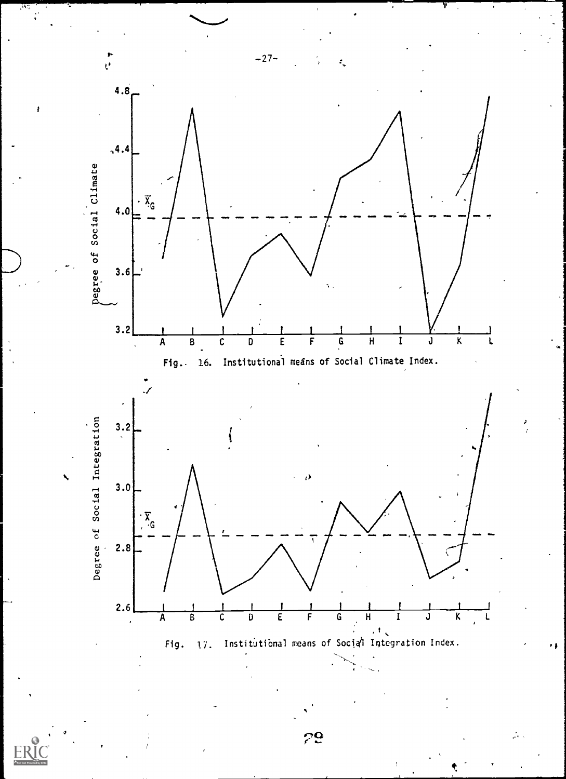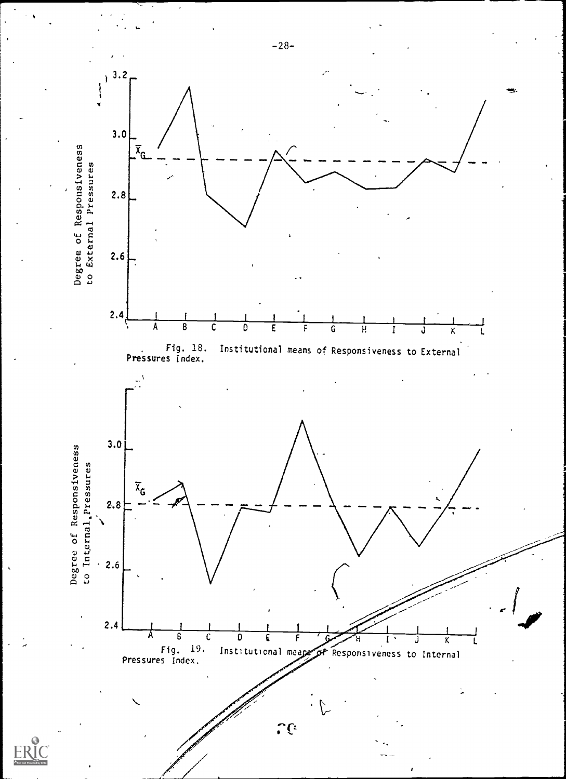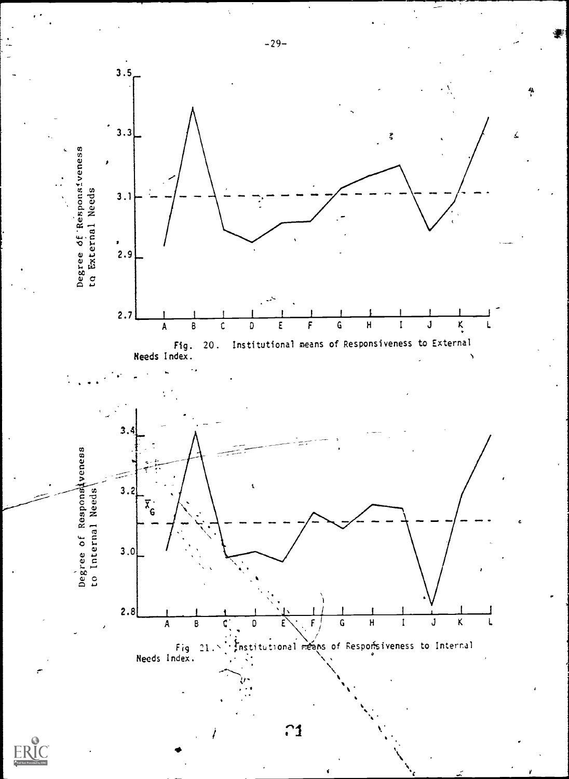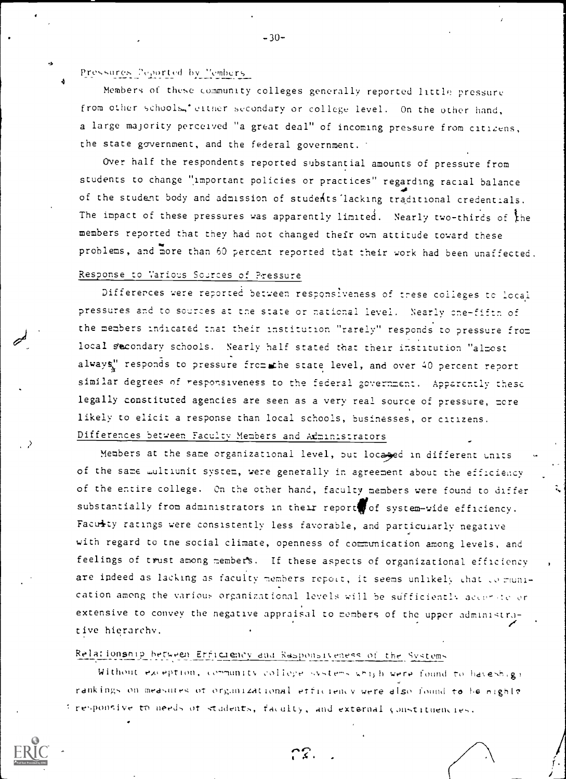Pressures Peported by Members

Members of these community colleges generally reported little pressure from other schools,' either secondary or college level. On the other hand, a large majority perceived "a great deal" of incoming pressure from citizens, the state government, and the federal government.

Over half the respondents reported substantial amounts of pressure from students to change "important policies or practices" regarding racial balance of the student body and admission of students lacking traditional credentials. The impact of these pressures was apparently limited. Nearly two-thirds of the members reported that they had not changed their own attitude toward these problems, and more than 60 percent reported that their work had been unaffected.

## Response to Various Sources of Pressure

Differences were reported between responsiveness of trese colleges to local pressures and to sources at the state or national level. Nearly one-fifth of the members indicated that their institution "rarely" responds to pressure from local secondary schools. Nearly half stated that their institution "almost always," responds to pressure from the state level, and over 40 percent report similar degrees of responsiveness to the federal government. Apparently these legally constituted agencies are seen as a very real source of pressure, more likely to elicit a response than local schools, businesses, or citizens. Differences between Faculty Members and Administrators

Members at the same organizational level, but locased in different units of the same multiunit system, were generally in agreement about the efficiency of the entire college. On the other hand, faculty members were found to differ substantially from administrators in their report of system-wide efficiency. Faculty ratings were consistently less favorable, and particularly negative with regard to the social climate, openness of communication among levels, and feelings of trust among members. If these aspects of organizational efficiency are indeed as lacking as faculty members report, it seems unlikely that to munication among the various organizational levels will be sufficiently accerte or extensive to convey the negative appraisal to members of the upper administrative hierarchy.

# Relationship between Erficiency and Rasponsiveness of the Systems

Without exception, community college systems which were found to haveshigh rankings on measures of organizational efficiency were also found to be night? firesponsive to needs of students, faculty, and external constituencies.

 $-30-$